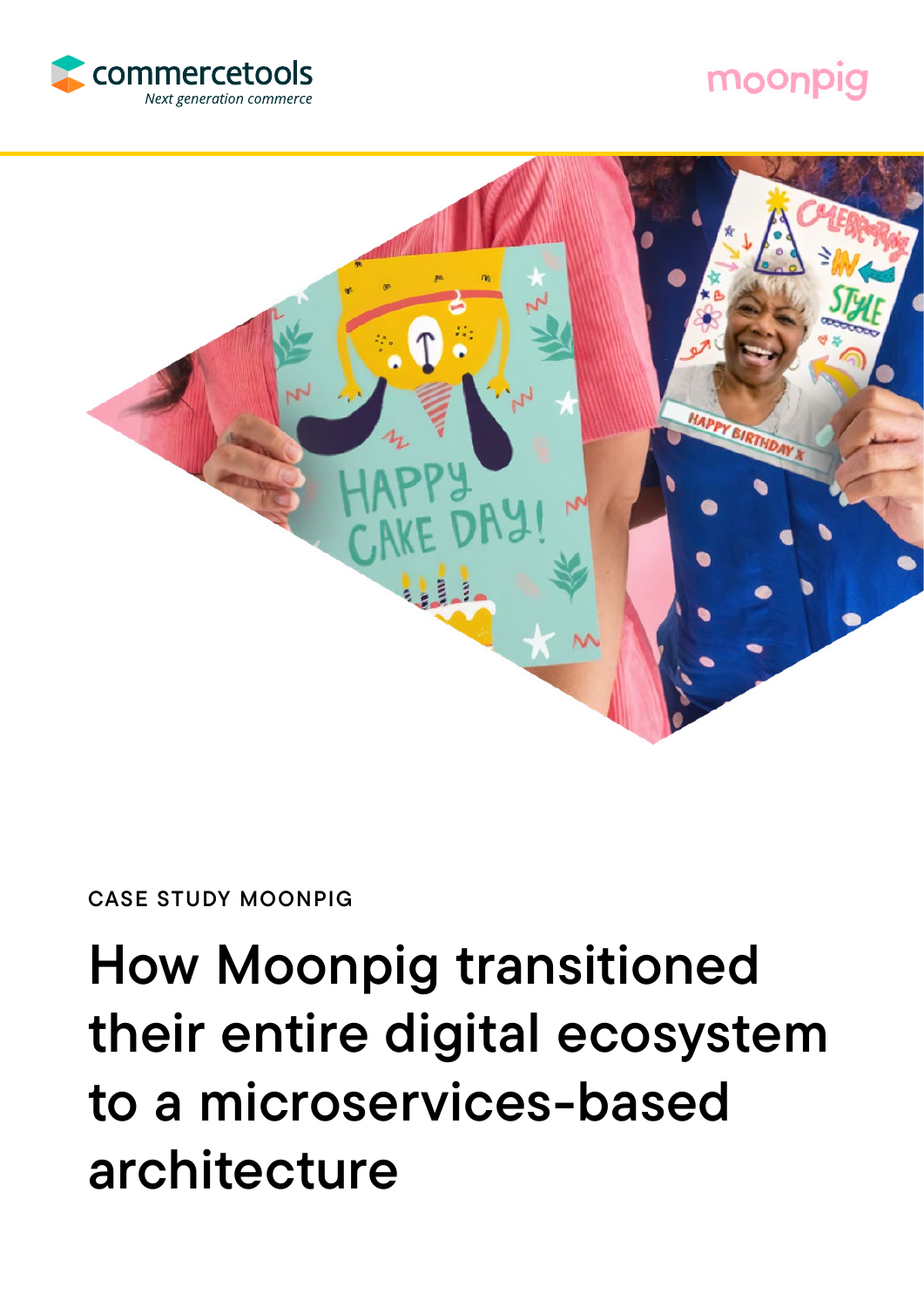

## moonpig



### CASE STUDY MOONPIG

# How Moonpig transitioned their entire digital ecosystem to a microservices-based architecture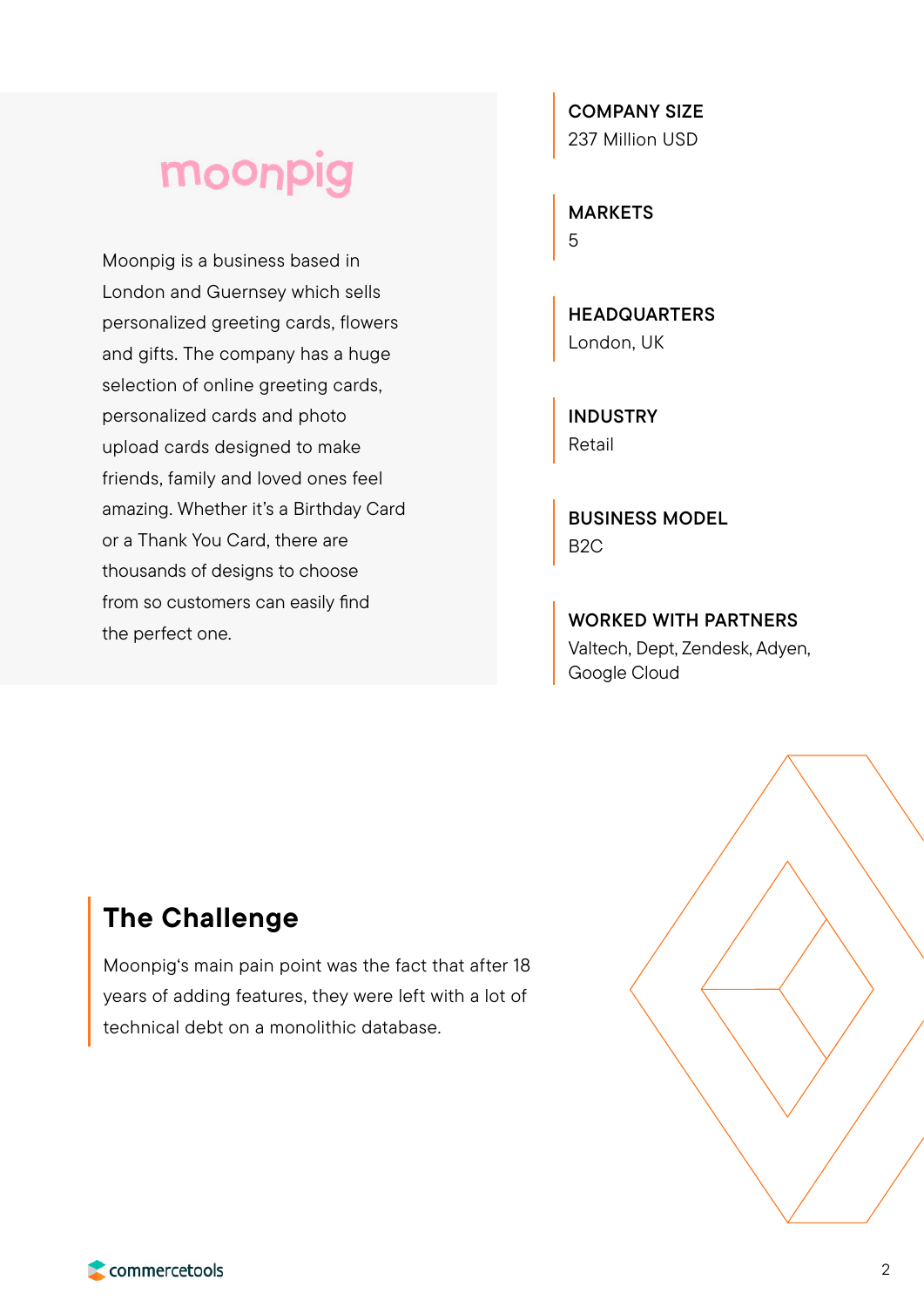## moonpig

Moonpig is a business based in London and Guernsey which sells personalized greeting cards, flowers and gifts. The company has a huge selection of online greeting cards, personalized cards and photo upload cards designed to make friends, family and loved ones feel amazing. Whether it's a Birthday Card or a Thank You Card, there are thousands of designs to choose from so customers can easily find the perfect one.

COMPANY SIZE 237 Million USD

MARKETS 5

**HEADQUARTERS** London, UK

INDUSTRY Retail

BUSINESS MODEL B2C

WORKED WITH PARTNERS Valtech, Dept, Zendesk, Adyen, Google Cloud

## The Challenge

Moonpig's main pain point was the fact that after 18 years of adding features, they were left with a lot of technical debt on a monolithic database.

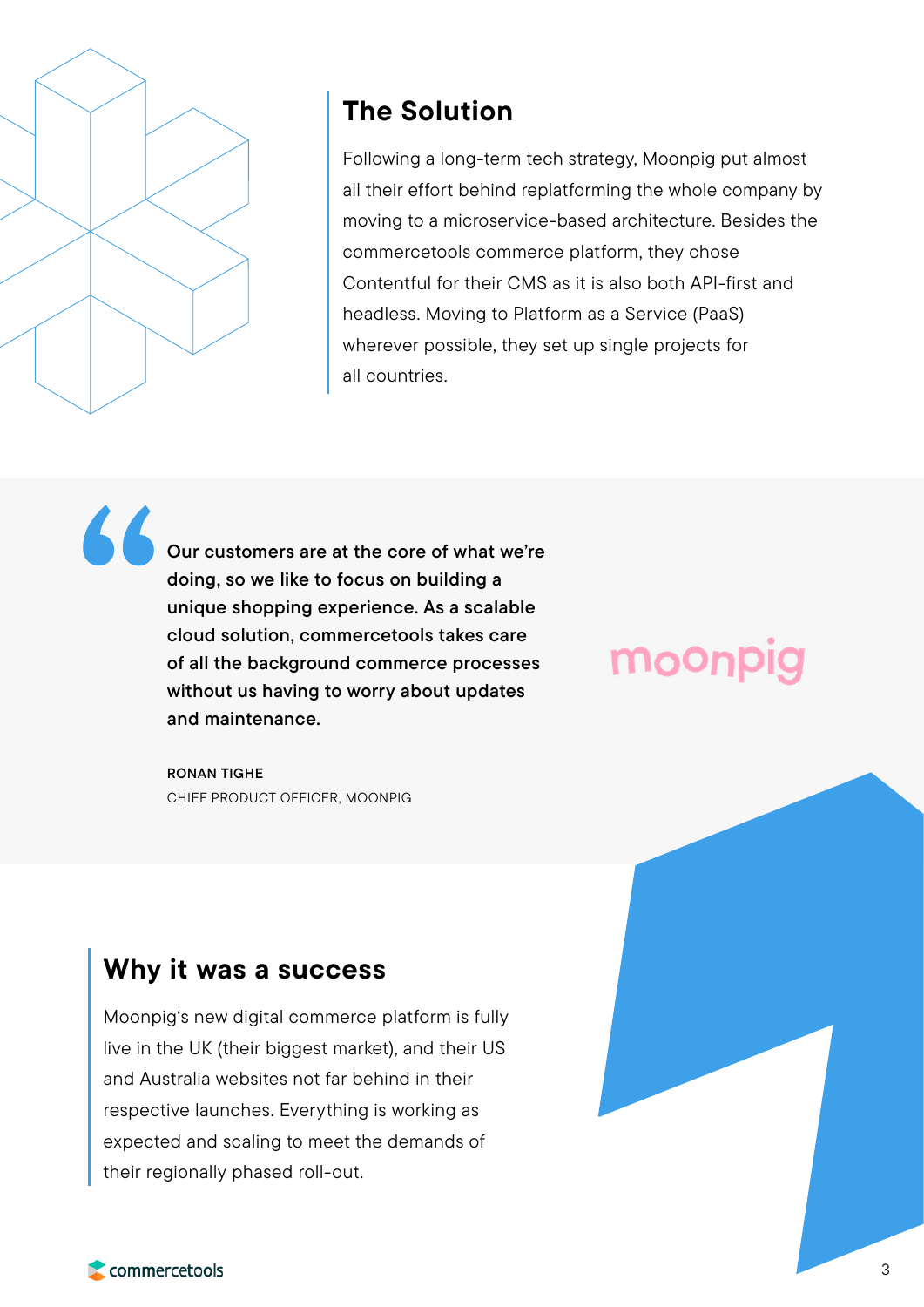

## The Solution

Following a long-term tech strategy, Moonpig put almost all their effort behind replatforming the whole company by moving to a microservice-based architecture. Besides the commercetools commerce platform, they chose Contentful for their CMS as it is also both API-first and headless. Moving to Platform as a Service (PaaS) wherever possible, they set up single projects for all countries.

Our customers are at the core of what we're doing, so we like to focus on building a unique shopping experience. As a scalable cloud solution, commercetools takes care of all the background commerce processes without us having to worry about updates and maintenance. "

> RONAN TIGHE CHIEF PRODUCT OFFICER, MOONPIG

### Why it was a success

Moonpig's new digital commerce platform is fully live in the UK (their biggest market), and their US and Australia websites not far behind in their respective launches. Everything is working as expected and scaling to meet the demands of their regionally phased roll-out.

# moo